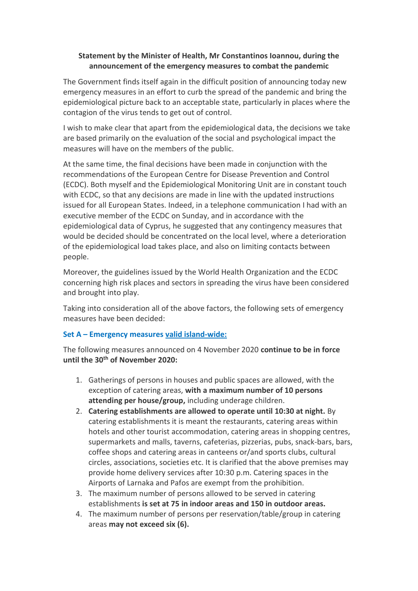### **Statement by the Minister of Health, Mr Constantinos Ioannou, during the announcement of the emergency measures to combat the pandemic**

The Government finds itself again in the difficult position of announcing today new emergency measures in an effort to curb the spread of the pandemic and bring the epidemiological picture back to an acceptable state, particularly in places where the contagion of the virus tends to get out of control.

I wish to make clear that apart from the epidemiological data, the decisions we take are based primarily on the evaluation of the social and psychological impact the measures will have on the members of the public.

At the same time, the final decisions have been made in conjunction with the recommendations of the European Centre for Disease Prevention and Control (ECDC). Both myself and the Epidemiological Monitoring Unit are in constant touch with ECDC, so that any decisions are made in line with the updated instructions issued for all European States. Indeed, in a telephone communication I had with an executive member of the ECDC on Sunday, and in accordance with the epidemiological data of Cyprus, he suggested that any contingency measures that would be decided should be concentrated on the local level, where a deterioration of the epidemiological load takes place, and also on limiting contacts between people.

Moreover, the guidelines issued by the World Health Organization and the ECDC concerning high risk places and sectors in spreading the virus have been considered and brought into play.

Taking into consideration all of the above factors, the following sets of emergency measures have been decided:

#### **Set A – Emergency measures valid island-wide:**

The following measures announced on 4 November 2020 **continue to be in force until the 30th of November 2020:**

- 1. Gatherings of persons in houses and public spaces are allowed, with the exception of catering areas, **with a maximum number of 10 persons attending per house/group,** including underage children.
- 2. **Catering establishments are allowed to operate until 10:30 at night.** By catering establishments it is meant the restaurants, catering areas within hotels and other tourist accommodation, catering areas in shopping centres, supermarkets and malls, taverns, cafeterias, pizzerias, pubs, snack-bars, bars, coffee shops and catering areas in canteens or/and sports clubs, cultural circles, associations, societies etc. It is clarified that the above premises may provide home delivery services after 10:30 p.m. Catering spaces in the Airports of Larnaka and Pafos are exempt from the prohibition.
- 3. The maximum number of persons allowed to be served in catering establishments **is set at 75 in indoor areas and 150 in outdoor areas.**
- 4. The maximum number of persons per reservation/table/group in catering areas **may not exceed six (6).**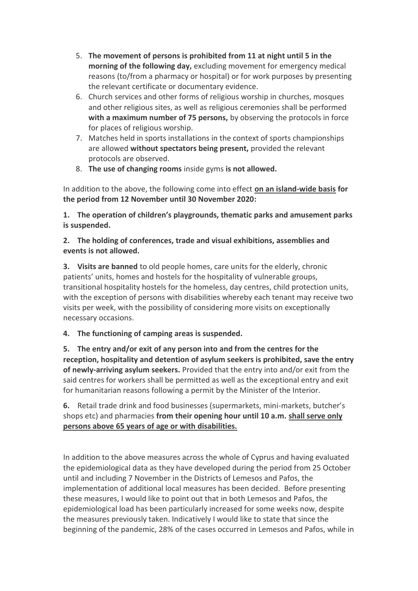- 5. **The movement of persons is prohibited from 11 at night until 5 in the morning of the following day,** excluding movement for emergency medical reasons (to/from a pharmacy or hospital) or for work purposes by presenting the relevant certificate or documentary evidence.
- 6. Church services and other forms of religious worship in churches, mosques and other religious sites, as well as religious ceremonies shall be performed **with a maximum number of 75 persons,** by observing the protocols in force for places of religious worship.
- 7. Matches held in sports installations in the context of sports championships are allowed **without spectators being present,** provided the relevant protocols are observed.
- 8. **The use of changing rooms** inside gyms **is not allowed.**

In addition to the above, the following come into effect **on an island-wide basis for the period from 12 November until 30 November 2020:**

**1. The operation of children's playgrounds, thematic parks and amusement parks is suspended.**

## **2. The holding of conferences, trade and visual exhibitions, assemblies and events is not allowed.**

**3. Visits are banned** to old people homes, care units for the elderly, chronic patients' units, homes and hostels for the hospitality of vulnerable groups, transitional hospitality hostels for the homeless, day centres, child protection units, with the exception of persons with disabilities whereby each tenant may receive two visits per week, with the possibility of considering more visits on exceptionally necessary occasions.

# **4. The functioning of camping areas is suspended.**

**5. The entry and/or exit of any person into and from the centres for the reception, hospitality and detention of asylum seekers is prohibited, save the entry of newly-arriving asylum seekers.** Provided that the entry into and/or exit from the said centres for workers shall be permitted as well as the exceptional entry and exit for humanitarian reasons following a permit by the Minister of the Interior.

**6.** Retail trade drink and food businesses (supermarkets, mini-markets, butcher's shops etc) and pharmacies **from their opening hour until 10 a.m. shall serve only persons above 65 years of age or with disabilities.**

In addition to the above measures across the whole of Cyprus and having evaluated the epidemiological data as they have developed during the period from 25 October until and including 7 November in the Districts of Lemesos and Pafos, the implementation of additional local measures has been decided. Before presenting these measures, I would like to point out that in both Lemesos and Pafos, the epidemiological load has been particularly increased for some weeks now, despite the measures previously taken. Indicatively I would like to state that since the beginning of the pandemic, 28% of the cases occurred in Lemesos and Pafos, while in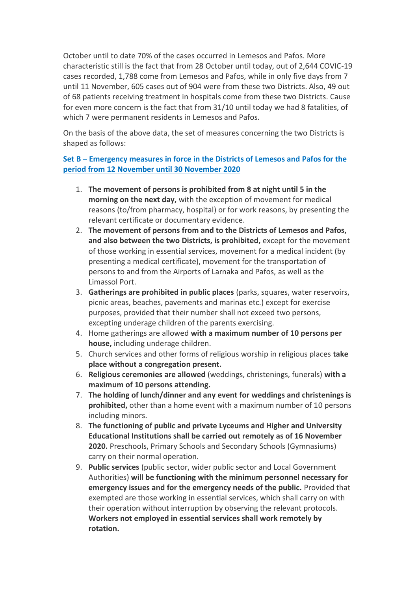October until to date 70% of the cases occurred in Lemesos and Pafos. More characteristic still is the fact that from 28 October until today, out of 2,644 COVIC-19 cases recorded, 1,788 come from Lemesos and Pafos, while in only five days from 7 until 11 November, 605 cases out of 904 were from these two Districts. Also, 49 out of 68 patients receiving treatment in hospitals come from these two Districts. Cause for even more concern is the fact that from 31/10 until today we had 8 fatalities, of which 7 were permanent residents in Lemesos and Pafos.

On the basis of the above data, the set of measures concerning the two Districts is shaped as follows:

### **Set B – Emergency measures in force in the Districts of Lemesos and Pafos for the period from 12 November until 30 November 2020**

- 1. **The movement of persons is prohibited from 8 at night until 5 in the morning on the next day,** with the exception of movement for medical reasons (to/from pharmacy, hospital) or for work reasons, by presenting the relevant certificate or documentary evidence.
- 2. **The movement of persons from and to the Districts of Lemesos and Pafos, and also between the two Districts, is prohibited,** except for the movement of those working in essential services, movement for a medical incident (by presenting a medical certificate), movement for the transportation of persons to and from the Airports of Larnaka and Pafos, as well as the Limassol Port.
- 3. **Gatherings are prohibited in public places** (parks, squares, water reservoirs, picnic areas, beaches, pavements and marinas etc.) except for exercise purposes, provided that their number shall not exceed two persons, excepting underage children of the parents exercising.
- 4. Home gatherings are allowed **with a maximum number of 10 persons per house,** including underage children.
- 5. Church services and other forms of religious worship in religious places **take place without a congregation present.**
- 6. **Religious ceremonies are allowed** (weddings, christenings, funerals) **with a maximum of 10 persons attending.**
- 7. **The holding of lunch/dinner and any event for weddings and christenings is prohibited,** other than a home event with a maximum number of 10 persons including minors.
- 8. **The functioning of public and private Lyceums and Higher and University Educational Institutions shall be carried out remotely as of 16 November 2020.** Preschools, Primary Schools and Secondary Schools (Gymnasiums) carry on their normal operation.
- 9. **Public services** (public sector, wider public sector and Local Government Authorities) **will be functioning with the minimum personnel necessary for emergency issues and for the emergency needs of the public.** Provided that exempted are those working in essential services, which shall carry on with their operation without interruption by observing the relevant protocols. **Workers not employed in essential services shall work remotely by rotation.**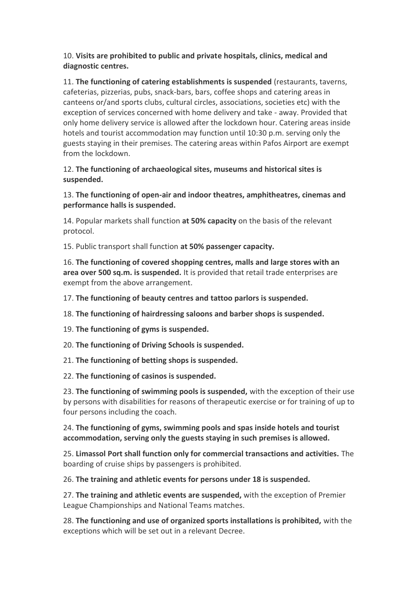### 10. **Visits are prohibited to public and private hospitals, clinics, medical and diagnostic centres.**

11. **The functioning of catering establishments is suspended** (restaurants, taverns, cafeterias, pizzerias, pubs, snack-bars, bars, coffee shops and catering areas in canteens or/and sports clubs, cultural circles, associations, societies etc) with the exception of services concerned with home delivery and take - away. Provided that only home delivery service is allowed after the lockdown hour. Catering areas inside hotels and tourist accommodation may function until 10:30 p.m. serving only the guests staying in their premises. The catering areas within Pafos Airport are exempt from the lockdown.

#### 12. **The functioning of archaeological sites, museums and historical sites is suspended.**

13. **The functioning of open-air and indoor theatres, amphitheatres, cinemas and performance halls is suspended.**

14. Popular markets shall function **at 50% capacity** on the basis of the relevant protocol.

15. Public transport shall function **at 50% passenger capacity.**

16. **The functioning of covered shopping centres, malls and large stores with an area over 500 sq.m. is suspended.** It is provided that retail trade enterprises are exempt from the above arrangement.

17. **The functioning of beauty centres and tattoo parlors is suspended.**

18. **The functioning of hairdressing saloons and barber shops is suspended.**

19. **The functioning of gyms is suspended.**

20. **The functioning of Driving Schools is suspended.**

21. **The functioning of betting shops is suspended.**

22. **The functioning of casinos is suspended.**

23. **The functioning of swimming pools is suspended,** with the exception of their use by persons with disabilities for reasons of therapeutic exercise or for training of up to four persons including the coach.

24. **The functioning of gyms, swimming pools and spas inside hotels and tourist accommodation, serving only the guests staying in such premises is allowed.**

25. **Limassol Port shall function only for commercial transactions and activities.** The boarding of cruise ships by passengers is prohibited.

26. **The training and athletic events for persons under 18 is suspended.**

27. **The training and athletic events are suspended,** with the exception of Premier League Championships and National Teams matches.

28. **The functioning and use of organized sports installations is prohibited,** with the exceptions which will be set out in a relevant Decree.